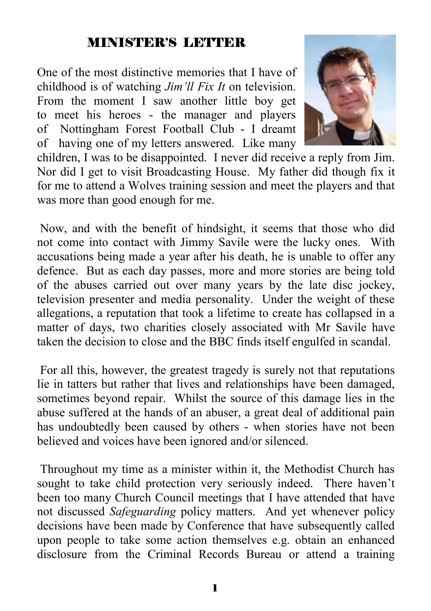#### MINISTER'S LETTER

One of the most distinctive memories that I have of childhood is of watching *Jim'll Fix It* on television. From the moment I saw another little boy get to meet his heroes - the manager and players of Nottingham Forest Football Club - I dreamt of having one of my letters answered. Like many



children, I was to be disappointed. I never did receive a reply from Jim. Nor did I get to visit Broadcasting House. My father did though fix it for me to attend a Wolves training session and meet the players and that was more than good enough for me.

 Now, and with the benefit of hindsight, it seems that those who did not come into contact with Jimmy Savile were the lucky ones. With accusations being made a year after his death, he is unable to offer any defence. But as each day passes, more and more stories are being told of the abuses carried out over many years by the late disc jockey, television presenter and media personality. Under the weight of these allegations, a reputation that took a lifetime to create has collapsed in a matter of days, two charities closely associated with Mr Savile have taken the decision to close and the BBC finds itself engulfed in scandal.

 For all this, however, the greatest tragedy is surely not that reputations lie in tatters but rather that lives and relationships have been damaged, sometimes beyond repair. Whilst the source of this damage lies in the abuse suffered at the hands of an abuser, a great deal of additional pain has undoubtedly been caused by others - when stories have not been believed and voices have been ignored and/or silenced.

 Throughout my time as a minister within it, the Methodist Church has sought to take child protection very seriously indeed. There haven't been too many Church Council meetings that I have attended that have not discussed *Safeguarding* policy matters. And yet whenever policy decisions have been made by Conference that have subsequently called upon people to take some action themselves e.g. obtain an enhanced disclosure from the Criminal Records Bureau or attend a training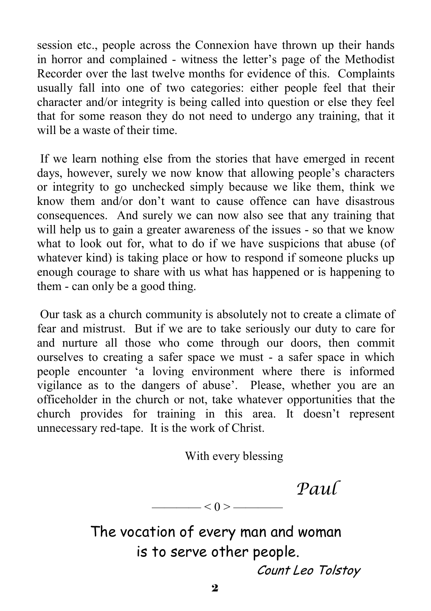session etc., people across the Connexion have thrown up their hands in horror and complained - witness the letter's page of the Methodist Recorder over the last twelve months for evidence of this. Complaints usually fall into one of two categories: either people feel that their character and/or integrity is being called into question or else they feel that for some reason they do not need to undergo any training, that it will be a waste of their time.

 If we learn nothing else from the stories that have emerged in recent days, however, surely we now know that allowing people's characters or integrity to go unchecked simply because we like them, think we know them and/or don't want to cause offence can have disastrous consequences. And surely we can now also see that any training that will help us to gain a greater awareness of the issues - so that we know what to look out for, what to do if we have suspicions that abuse (of whatever kind) is taking place or how to respond if someone plucks up enough courage to share with us what has happened or is happening to them - can only be a good thing.

 Our task as a church community is absolutely not to create a climate of fear and mistrust. But if we are to take seriously our duty to care for and nurture all those who come through our doors, then commit ourselves to creating a safer space we must - a safer space in which people encounter 'a loving environment where there is informed vigilance as to the dangers of abuse'. Please, whether you are an officeholder in the church or not, take whatever opportunities that the church provides for training in this area. It doesn't represent unnecessary red-tape. It is the work of Christ.

With every blessing

*Paul*

The vocation of every man and woman is to serve other people. Count Leo Tolstoy

 $<$   $0$   $>$   $-$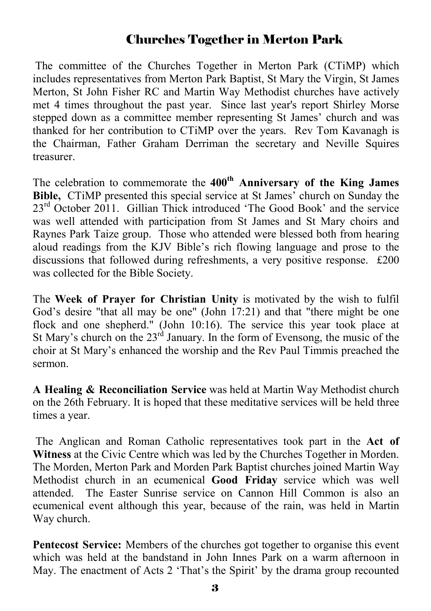#### Churches Together in Merton Park

The committee of the Churches Together in Merton Park (CTiMP) which includes representatives from Merton Park Baptist, St Mary the Virgin, St James Merton, St John Fisher RC and Martin Way Methodist churches have actively met 4 times throughout the past year. Since last year's report Shirley Morse stepped down as a committee member representing St James' church and was thanked for her contribution to CTiMP over the years. Rev Tom Kavanagh is the Chairman, Father Graham Derriman the secretary and Neville Squires treasurer.

The celebration to commemorate the **400th Anniversary of the King James Bible,** CTiMP presented this special service at St James' church on Sunday the 23<sup>rd</sup> October 2011. Gillian Thick introduced 'The Good Book' and the service was well attended with participation from St James and St Mary choirs and Raynes Park Taize group. Those who attended were blessed both from hearing aloud readings from the KJV Bible's rich flowing language and prose to the discussions that followed during refreshments, a very positive response. £200 was collected for the Bible Society.

The **Week of Prayer for Christian Unity** is motivated by the wish to fulfil God's desire "that all may be one" (John 17:21) and that "there might be one flock and one shepherd." (John 10:16). The service this year took place at St Mary's church on the  $23<sup>rd</sup>$  January. In the form of Evensong, the music of the choir at St Mary's enhanced the worship and the Rev Paul Timmis preached the sermon.

**A Healing & Reconciliation Service** was held at Martin Way Methodist church on the 26th February. It is hoped that these meditative services will be held three times a year.

 The Anglican and Roman Catholic representatives took part in the **Act of Witness** at the Civic Centre which was led by the Churches Together in Morden. The Morden, Merton Park and Morden Park Baptist churches joined Martin Way Methodist church in an ecumenical **Good Friday** service which was well attended. The Easter Sunrise service on Cannon Hill Common is also an ecumenical event although this year, because of the rain, was held in Martin Way church.

**Pentecost Service:** Members of the churches got together to organise this event which was held at the bandstand in John Innes Park on a warm afternoon in May. The enactment of Acts 2 'That's the Spirit' by the drama group recounted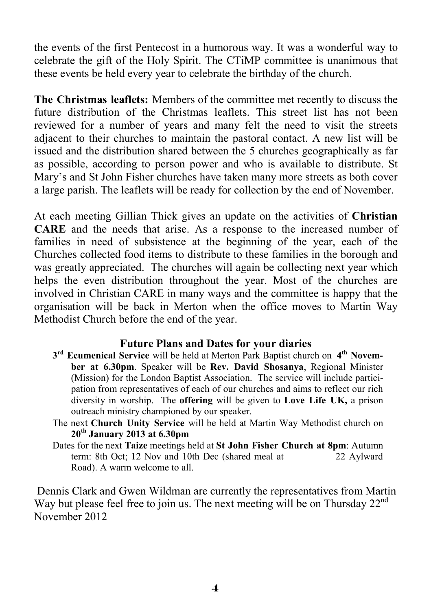the events of the first Pentecost in a humorous way. It was a wonderful way to celebrate the gift of the Holy Spirit. The CTiMP committee is unanimous that these events be held every year to celebrate the birthday of the church.

**The Christmas leaflets:** Members of the committee met recently to discuss the future distribution of the Christmas leaflets. This street list has not been reviewed for a number of years and many felt the need to visit the streets adjacent to their churches to maintain the pastoral contact. A new list will be issued and the distribution shared between the 5 churches geographically as far as possible, according to person power and who is available to distribute. St Mary's and St John Fisher churches have taken many more streets as both cover a large parish. The leaflets will be ready for collection by the end of November.

At each meeting Gillian Thick gives an update on the activities of **Christian CARE** and the needs that arise. As a response to the increased number of families in need of subsistence at the beginning of the year, each of the Churches collected food items to distribute to these families in the borough and was greatly appreciated. The churches will again be collecting next year which helps the even distribution throughout the year. Most of the churches are involved in Christian CARE in many ways and the committee is happy that the organisation will be back in Merton when the office moves to Martin Way Methodist Church before the end of the year.

#### **Future Plans and Dates for your diaries**

- **3rd Ecumenical Service** will be held at Merton Park Baptist church on **4th November at 6.30pm**. Speaker will be **Rev. David Shosanya**, Regional Minister (Mission) for the London Baptist Association. The service will include participation from representatives of each of our churches and aims to reflect our rich diversity in worship. The **offering** will be given to **Love Life UK,** a prison outreach ministry championed by our speaker.
- The next **Church Unity Service** will be held at Martin Way Methodist church on **20th January 2013 at 6.30pm**
- Dates for the next **Taize** meetings held at **St John Fisher Church at 8pm**: Autumn term: 8th Oct; 12 Nov and 10th Dec (shared meal at 22 Aylward Road). A warm welcome to all.

 Dennis Clark and Gwen Wildman are currently the representatives from Martin Way but please feel free to join us. The next meeting will be on Thursday 22<sup>nd</sup> November 2012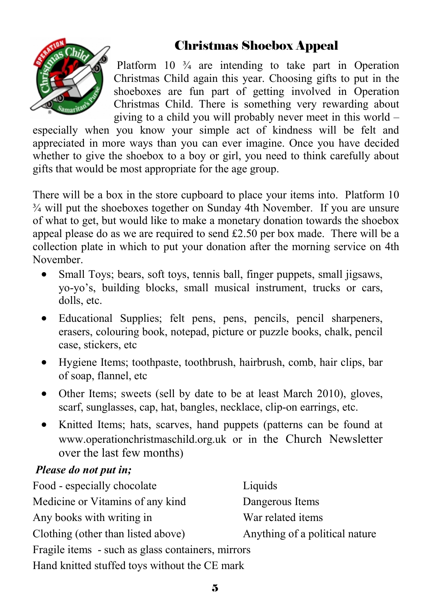#### Christmas Shoebox Appeal



Platform  $10\frac{3}{4}$  are intending to take part in Operation Christmas Child again this year. Choosing gifts to put in the shoeboxes are fun part of getting involved in Operation Christmas Child. There is something very rewarding about giving to a child you will probably never meet in this world –

especially when you know your simple act of kindness will be felt and appreciated in more ways than you can ever imagine. Once you have decided whether to give the shoebox to a boy or girl, you need to think carefully about gifts that would be most appropriate for the age group.

There will be a box in the store cupboard to place your items into. Platform 10  $\frac{3}{4}$  will put the shoeboxes together on Sunday 4th November. If you are unsure of what to get, but would like to make a monetary donation towards the shoebox appeal please do as we are required to send £2.50 per box made. There will be a collection plate in which to put your donation after the morning service on 4th November.

- Small Toys; bears, soft toys, tennis ball, finger puppets, small jigsaws, yo-yo's, building blocks, small musical instrument, trucks or cars, dolls, etc.
- Educational Supplies; felt pens, pens, pencils, pencil sharpeners, erasers, colouring book, notepad, picture or puzzle books, chalk, pencil case, stickers, etc
- Hygiene Items; toothpaste, toothbrush, hairbrush, comb, hair clips, bar of soap, flannel, etc
- Other Items; sweets (sell by date to be at least March 2010), gloves, scarf, sunglasses, cap, hat, bangles, necklace, clip-on earrings, etc.
- Knitted Items; hats, scarves, hand puppets (patterns can be found at www.operationchristmaschild.org.uk or in the Church Newsletter over the last few months)

#### *Please do not put in;*

| Food - especially chocolate                       | Liquids                        |  |  |  |
|---------------------------------------------------|--------------------------------|--|--|--|
| Medicine or Vitamins of any kind                  | Dangerous Items                |  |  |  |
| Any books with writing in                         | War related items              |  |  |  |
| Clothing (other than listed above)                | Anything of a political nature |  |  |  |
| Fragile items - such as glass containers, mirrors |                                |  |  |  |
| Hand knitted stuffed toys without the CE mark     |                                |  |  |  |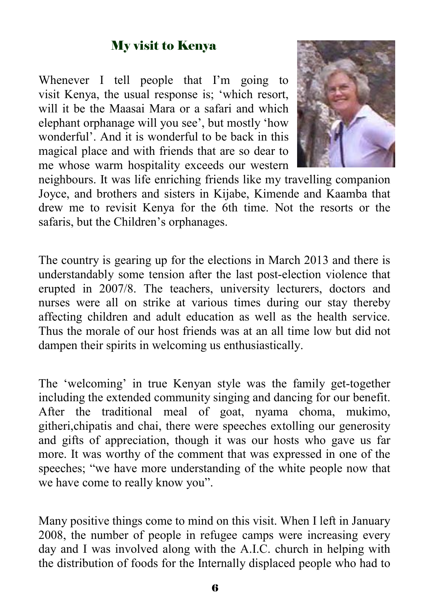#### My visit to Kenya

Whenever I tell people that I'm going to visit Kenya, the usual response is; 'which resort, will it be the Maasai Mara or a safari and which elephant orphanage will you see', but mostly 'how wonderful'. And it is wonderful to be back in this magical place and with friends that are so dear to me whose warm hospitality exceeds our western



neighbours. It was life enriching friends like my travelling companion Joyce, and brothers and sisters in Kijabe, Kimende and Kaamba that drew me to revisit Kenya for the 6th time. Not the resorts or the safaris, but the Children's orphanages.

The country is gearing up for the elections in March 2013 and there is understandably some tension after the last post-election violence that erupted in 2007/8. The teachers, university lecturers, doctors and nurses were all on strike at various times during our stay thereby affecting children and adult education as well as the health service. Thus the morale of our host friends was at an all time low but did not dampen their spirits in welcoming us enthusiastically.

The 'welcoming' in true Kenyan style was the family get-together including the extended community singing and dancing for our benefit. After the traditional meal of goat, nyama choma, mukimo, githeri,chipatis and chai, there were speeches extolling our generosity and gifts of appreciation, though it was our hosts who gave us far more. It was worthy of the comment that was expressed in one of the speeches; "we have more understanding of the white people now that we have come to really know you".

Many positive things come to mind on this visit. When I left in January 2008, the number of people in refugee camps were increasing every day and I was involved along with the A.I.C. church in helping with the distribution of foods for the Internally displaced people who had to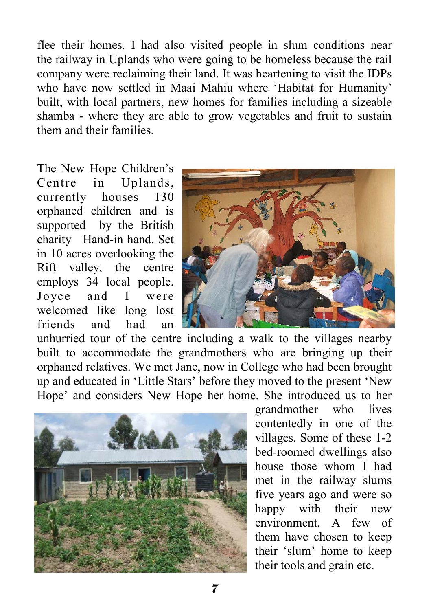flee their homes. I had also visited people in slum conditions near the railway in Uplands who were going to be homeless because the rail company were reclaiming their land. It was heartening to visit the IDPs who have now settled in Maai Mahiu where 'Habitat for Humanity' built, with local partners, new homes for families including a sizeable shamba - where they are able to grow vegetables and fruit to sustain them and their families.

The New Hope Children's Centre in Uplands, currently houses 130 orphaned children and is supported by the British charity Hand-in hand. Set in 10 acres overlooking the Rift valley, the centre employs 34 local people. Joyce and I were welcomed like long lost friends and had an



unhurried tour of the centre including a walk to the villages nearby built to accommodate the grandmothers who are bringing up their orphaned relatives. We met Jane, now in College who had been brought up and educated in 'Little Stars' before they moved to the present 'New Hope' and considers New Hope her home. She introduced us to her



grandmother who lives contentedly in one of the villages. Some of these 1-2 bed-roomed dwellings also house those whom I had met in the railway slums five years ago and were so happy with their new environment. A few of them have chosen to keep their 'slum' home to keep their tools and grain etc.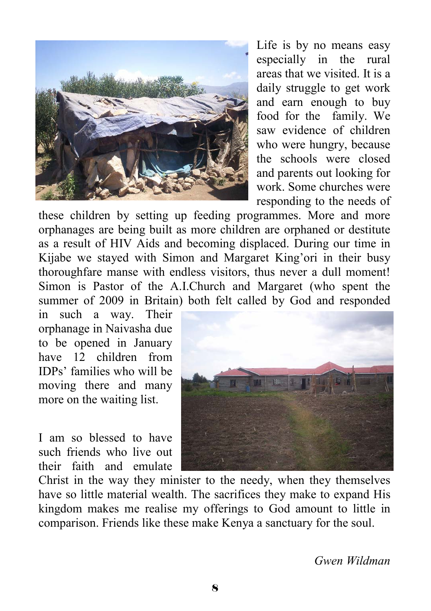

Life is by no means easy especially in the rural areas that we visited. It is a daily struggle to get work and earn enough to buy food for the family. We saw evidence of children who were hungry, because the schools were closed and parents out looking for work. Some churches were responding to the needs of

these children by setting up feeding programmes. More and more orphanages are being built as more children are orphaned or destitute as a result of HIV Aids and becoming displaced. During our time in Kijabe we stayed with Simon and Margaret King'ori in their busy thoroughfare manse with endless visitors, thus never a dull moment! Simon is Pastor of the A.I.Church and Margaret (who spent the summer of 2009 in Britain) both felt called by God and responded

in such a way. Their orphanage in Naivasha due to be opened in January have 12 children from IDPs' families who will be moving there and many more on the waiting list.

I am so blessed to have such friends who live out their faith and emulate



Christ in the way they minister to the needy, when they themselves have so little material wealth. The sacrifices they make to expand His kingdom makes me realise my offerings to God amount to little in comparison. Friends like these make Kenya a sanctuary for the soul.

*Gwen Wildman*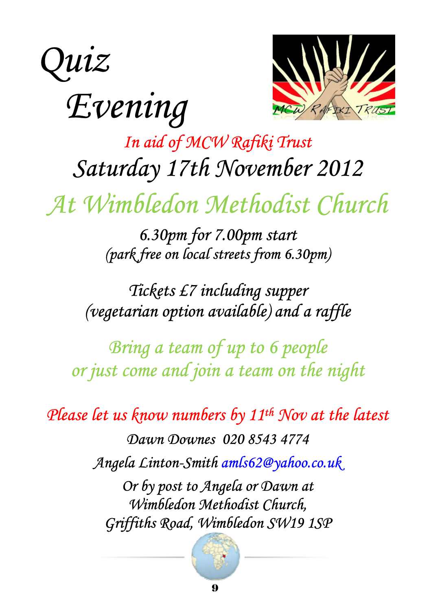



# *In aid of MCW Rafiki Trust Saturday 17th November 2012*

*At Wimbledon Methodist Church* 

*6.30pm for 7.00pm start (park free on local streets from 6.30pm)* 

# *Tickets £7 including supper (vegetarian option available) and a raffle*

*Bring a team of up to 6 people or just come and join a team on the night* 

*Please let us know numbers by 11th Nov at the latest* 

*Dawn Downes 020 8543 4774 Angela Linton-Smith amls62@yahoo.co.uk* 

*Or by post to Angela or Dawn at Wimbledon Methodist Church, Griffiths Road, Wimbledon SW19 1SP* 

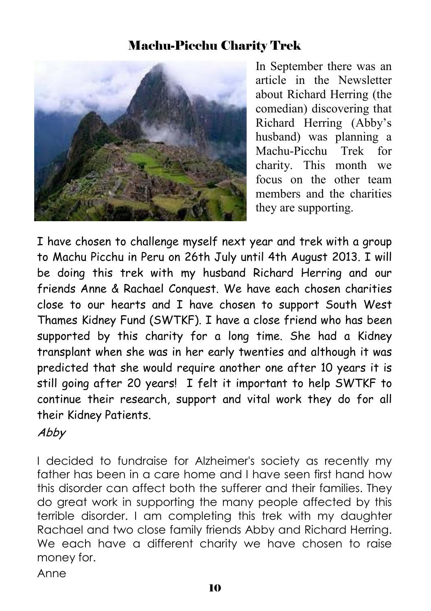#### Machu-Picchu Charity Trek



In September there was an article in the Newsletter about Richard Herring (the comedian) discovering that Richard Herring (Abby's husband) was planning a Machu-Picchu Trek for charity. This month we focus on the other team members and the charities they are supporting.

I have chosen to challenge myself next year and trek with a group to Machu Picchu in Peru on 26th July until 4th August 2013. I will be doing this trek with my husband Richard Herring and our friends Anne & Rachael Conquest. We have each chosen charities close to our hearts and I have chosen to support South West Thames Kidney Fund (SWTKF). I have a close friend who has been supported by this charity for a long time. She had a Kidney transplant when she was in her early twenties and although it was predicted that she would require another one after 10 years it is still going after 20 years! I felt it important to help SWTKF to continue their research, support and vital work they do for all their Kidney Patients.

#### Abby

I decided to fundraise for Alzheimer's society as recently my father has been in a care home and I have seen first hand how this disorder can affect both the sufferer and their families. They do great work in supporting the many people affected by this terrible disorder. I am completing this trek with my daughter Rachael and two close family friends Abby and Richard Herring. We each have a different charity we have chosen to raise money for.

Anne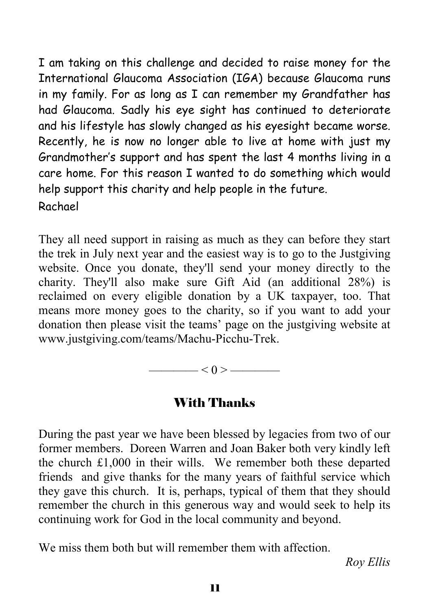I am taking on this challenge and decided to raise money for the International Glaucoma Association (IGA) because Glaucoma runs in my family. For as long as I can remember my Grandfather has had Glaucoma. Sadly his eye sight has continued to deteriorate and his lifestyle has slowly changed as his eyesight became worse. Recently, he is now no longer able to live at home with just my Grandmother's support and has spent the last 4 months living in a care home. For this reason I wanted to do something which would help support this charity and help people in the future. Rachael

They all need support in raising as much as they can before they start the trek in July next year and the easiest way is to go to the Justgiving website. Once you donate, they'll send your money directly to the charity. They'll also make sure Gift Aid (an additional 28%) is reclaimed on every eligible donation by a UK taxpayer, too. That means more money goes to the charity, so if you want to add your donation then please visit the teams' page on the justgiving website at www.justgiving.com/teams/Machu-Picchu-Trek.

$$
\overbrace{\hspace{1.5cm}}<0>\overbrace{\hspace{1.5cm}}
$$

#### With Thanks

During the past year we have been blessed by legacies from two of our former members. Doreen Warren and Joan Baker both very kindly left the church £1,000 in their wills. We remember both these departed friends and give thanks for the many years of faithful service which they gave this church. It is, perhaps, typical of them that they should remember the church in this generous way and would seek to help its continuing work for God in the local community and beyond.

We miss them both but will remember them with affection.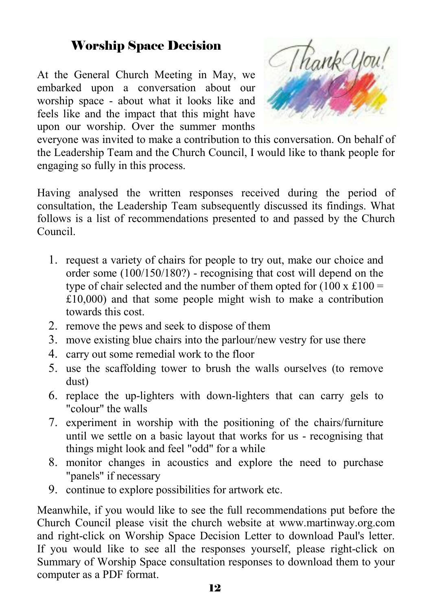#### Worship Space Decision

At the General Church Meeting in May, we embarked upon a conversation about our worship space - about what it looks like and feels like and the impact that this might have upon our worship. Over the summer months



everyone was invited to make a contribution to this conversation. On behalf of the Leadership Team and the Church Council, I would like to thank people for engaging so fully in this process.

Having analysed the written responses received during the period of consultation, the Leadership Team subsequently discussed its findings. What follows is a list of recommendations presented to and passed by the Church Council.

- 1. request a variety of chairs for people to try out, make our choice and order some (100/150/180?) - recognising that cost will depend on the type of chair selected and the number of them opted for  $(100 \times \text{\pounds}100 =$  $£10,000)$  and that some people might wish to make a contribution towards this cost.
- 2. remove the pews and seek to dispose of them
- 3. move existing blue chairs into the parlour/new vestry for use there
- 4. carry out some remedial work to the floor
- 5. use the scaffolding tower to brush the walls ourselves (to remove dust)
- 6. replace the up-lighters with down-lighters that can carry gels to "colour" the walls
- 7. experiment in worship with the positioning of the chairs/furniture until we settle on a basic layout that works for us - recognising that things might look and feel "odd" for a while
- 8. monitor changes in acoustics and explore the need to purchase "panels" if necessary
- 9. continue to explore possibilities for artwork etc.

Meanwhile, if you would like to see the full recommendations put before the Church Council please visit the church website at www.martinway.org.com and right-click on Worship Space Decision Letter to download Paul's letter. If you would like to see all the responses yourself, please right-click on Summary of Worship Space consultation responses to download them to your computer as a PDF format.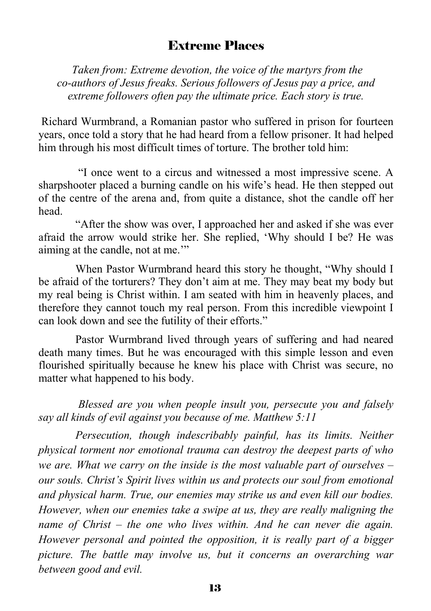#### Extreme Places

 *Taken from: Extreme devotion, the voice of the martyrs from the co-authors of Jesus freaks. Serious followers of Jesus pay a price, and extreme followers often pay the ultimate price. Each story is true.* 

 Richard Wurmbrand, a Romanian pastor who suffered in prison for fourteen years, once told a story that he had heard from a fellow prisoner. It had helped him through his most difficult times of torture. The brother told him:

 "I once went to a circus and witnessed a most impressive scene. A sharpshooter placed a burning candle on his wife's head. He then stepped out of the centre of the arena and, from quite a distance, shot the candle off her head.

"After the show was over, I approached her and asked if she was ever afraid the arrow would strike her. She replied, 'Why should I be? He was aiming at the candle, not at me.'"

When Pastor Wurmbrand heard this story he thought, "Why should I be afraid of the torturers? They don't aim at me. They may beat my body but my real being is Christ within. I am seated with him in heavenly places, and therefore they cannot touch my real person. From this incredible viewpoint I can look down and see the futility of their efforts."

Pastor Wurmbrand lived through years of suffering and had neared death many times. But he was encouraged with this simple lesson and even flourished spiritually because he knew his place with Christ was secure, no matter what happened to his body.

*Blessed are you when people insult you, persecute you and falsely say all kinds of evil against you because of me. Matthew 5:11* 

*Persecution, though indescribably painful, has its limits. Neither physical torment nor emotional trauma can destroy the deepest parts of who we are. What we carry on the inside is the most valuable part of ourselves – our souls. Christ's Spirit lives within us and protects our soul from emotional and physical harm. True, our enemies may strike us and even kill our bodies. However, when our enemies take a swipe at us, they are really maligning the name of Christ – the one who lives within. And he can never die again. However personal and pointed the opposition, it is really part of a bigger picture. The battle may involve us, but it concerns an overarching war between good and evil.*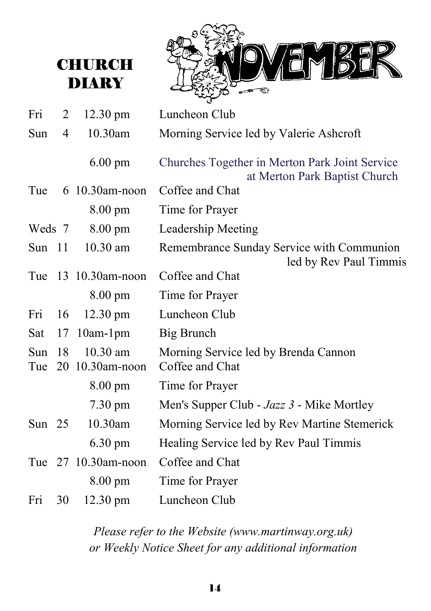# **CHURCH** DIARY



| Fri        | 2              | 12.30 pm                    | Luncheon Club                                                                   |
|------------|----------------|-----------------------------|---------------------------------------------------------------------------------|
| Sun        | $\overline{4}$ | 10.30am                     | Morning Service led by Valerie Ashcroft                                         |
|            |                | $6.00 \text{ pm}$           | Churches Together in Merton Park Joint Service<br>at Merton Park Baptist Church |
| Tue        |                | 6 10.30am-noon              | Coffee and Chat                                                                 |
|            |                | $8.00 \text{ pm}$           | Time for Prayer                                                                 |
| Weds 7     |                | $8.00 \text{ pm}$           | Leadership Meeting                                                              |
| Sun 11     |                | $10.30$ am                  | Remembrance Sunday Service with Communion<br>led by Rev Paul Timmis             |
| Tue        |                | 13 10.30am-noon             | Coffee and Chat                                                                 |
|            |                | $8.00 \text{ pm}$           | Time for Prayer                                                                 |
| Fri        | 16             | $12.30 \text{ pm}$          | Luncheon Club                                                                   |
| Sat        | 17             | $10$ am- $1$ pm             | Big Brunch                                                                      |
| Sun<br>Tue | 18             | 10.30 am<br>20 10.30am-noon | Morning Service led by Brenda Cannon<br>Coffee and Chat                         |
|            |                | $8.00 \text{ pm}$           | Time for Prayer                                                                 |
|            |                | $7.30 \text{ pm}$           | Men's Supper Club - Jazz 3 - Mike Mortley                                       |
| Sun $25$   |                | 10.30am                     | Morning Service led by Rev Martine Stemerick                                    |
|            |                | $6.30 \text{ pm}$           | Healing Service led by Rev Paul Timmis                                          |
|            |                | Tue 27 10.30am-noon         | Coffee and Chat                                                                 |
|            |                | $8.00 \text{ pm}$           | Time for Prayer                                                                 |
| Fri        | 30             | $12.30 \text{ pm}$          | Luncheon Club                                                                   |
|            |                |                             |                                                                                 |

*Please refer to the Website (www.martinway.org.uk) or Weekly Notice Sheet for any additional information*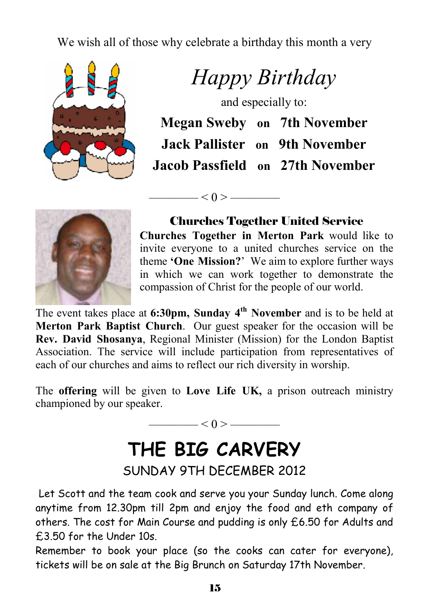We wish all of those why celebrate a birthday this month a very



*Happy Birthday* 

and especially to:

|  | <b>Megan Sweby</b> on 7th November    |
|--|---------------------------------------|
|  | <b>Jack Pallister</b> on 9th November |
|  | Jacob Passfield on 27th November      |



Churches Together United Service

**Churches Together in Merton Park** would like to invite everyone to a united churches service on the theme **'One Mission?**' We aim to explore further ways in which we can work together to demonstrate the compassion of Christ for the people of our world.

The event takes place at **6:30pm, Sunday 4th November** and is to be held at **Merton Park Baptist Church**. Our guest speaker for the occasion will be **Rev. David Shosanya**, Regional Minister (Mission) for the London Baptist Association. The service will include participation from representatives of each of our churches and aims to reflect our rich diversity in worship.

—— $< 0 > -$ 

The **offering** will be given to **Love Life UK,** a prison outreach ministry championed by our speaker.

 $< 0 >$  ——————

# **THE BIG CARVERY**  SUNDAY 9TH DECEMBER 2012

 Let Scott and the team cook and serve you your Sunday lunch. Come along anytime from 12.30pm till 2pm and enjoy the food and eth company of others. The cost for Main Course and pudding is only £6.50 for Adults and £3.50 for the Under 10s.

Remember to book your place (so the cooks can cater for everyone), tickets will be on sale at the Big Brunch on Saturday 17th November.